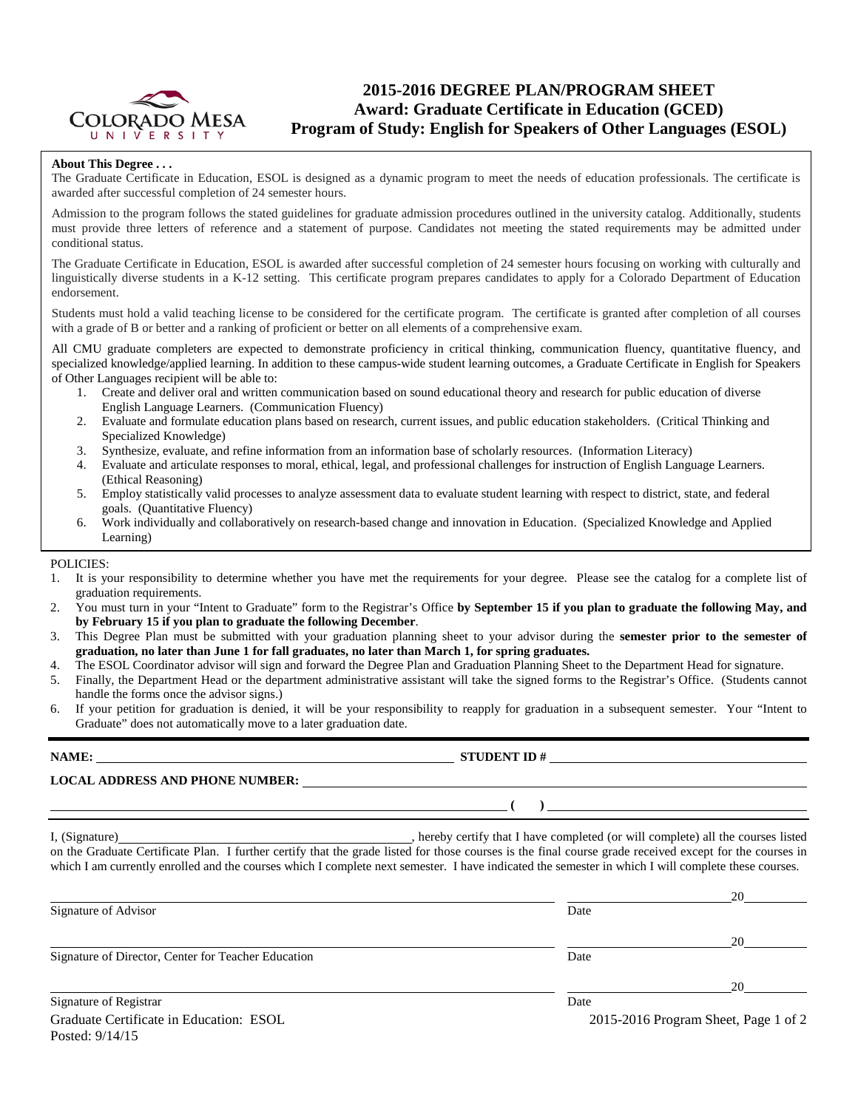

## **2015-2016 DEGREE PLAN/PROGRAM SHEET Award: Graduate Certificate in Education (GCED) Program of Study: English for Speakers of Other Languages (ESOL)**

#### **About This Degree . . .**

The Graduate Certificate in Education, ESOL is designed as a dynamic program to meet the needs of education professionals. The certificate is awarded after successful completion of 24 semester hours.

Admission to the program follows the stated guidelines for graduate admission procedures outlined in the university catalog. Additionally, students must provide three letters of reference and a statement of purpose. Candidates not meeting the stated requirements may be admitted under conditional status.

The Graduate Certificate in Education, ESOL is awarded after successful completion of 24 semester hours focusing on working with culturally and linguistically diverse students in a K-12 setting. This certificate program prepares candidates to apply for a Colorado Department of Education endorsement.

Students must hold a valid teaching license to be considered for the certificate program. The certificate is granted after completion of all courses with a grade of B or better and a ranking of proficient or better on all elements of a comprehensive exam.

All CMU graduate completers are expected to demonstrate proficiency in critical thinking, communication fluency, quantitative fluency, and specialized knowledge/applied learning. In addition to these campus-wide student learning outcomes, a Graduate Certificate in English for Speakers of Other Languages recipient will be able to:

- 1. Create and deliver oral and written communication based on sound educational theory and research for public education of diverse English Language Learners. (Communication Fluency)
- 2. Evaluate and formulate education plans based on research, current issues, and public education stakeholders. (Critical Thinking and Specialized Knowledge)
- 3. Synthesize, evaluate, and refine information from an information base of scholarly resources. (Information Literacy)
- 4. Evaluate and articulate responses to moral, ethical, legal, and professional challenges for instruction of English Language Learners. (Ethical Reasoning)
- 5. Employ statistically valid processes to analyze assessment data to evaluate student learning with respect to district, state, and federal goals. (Quantitative Fluency)
- 6. Work individually and collaboratively on research-based change and innovation in Education. (Specialized Knowledge and Applied Learning)

#### POLICIES:

Posted: 9/14/15

- 1. It is your responsibility to determine whether you have met the requirements for your degree. Please see the catalog for a complete list of graduation requirements.
- 2. You must turn in your "Intent to Graduate" form to the Registrar's Office **by September 15 if you plan to graduate the following May, and by February 15 if you plan to graduate the following December**.
- 3. This Degree Plan must be submitted with your graduation planning sheet to your advisor during the **semester prior to the semester of graduation, no later than June 1 for fall graduates, no later than March 1, for spring graduates.**
- 4. The ESOL Coordinator advisor will sign and forward the Degree Plan and Graduation Planning Sheet to the Department Head for signature.
- 5. Finally, the Department Head or the department administrative assistant will take the signed forms to the Registrar's Office. (Students cannot handle the forms once the advisor signs.)
- 6. If your petition for graduation is denied, it will be your responsibility to reapply for graduation in a subsequent semester. Your "Intent to Graduate" does not automatically move to a later graduation date.

| <b>LOCAL ADDRESS AND PHONE NUMBER:</b>                                                                                                                                                                                                                                                                          |
|-----------------------------------------------------------------------------------------------------------------------------------------------------------------------------------------------------------------------------------------------------------------------------------------------------------------|
| $\left(\begin{array}{c}\right)$                                                                                                                                                                                                                                                                                 |
| on the Graduate Certificate Plan. I further certify that the grade listed for those courses is the final course grade received except for the courses in<br>which I am currently enrolled and the courses which I complete next semester. I have indicated the semester in which I will complete these courses. |
|                                                                                                                                                                                                                                                                                                                 |

| Signature of Advisor                                | Date                                 | $\sim$ |  |
|-----------------------------------------------------|--------------------------------------|--------|--|
|                                                     |                                      | 20     |  |
| Signature of Director, Center for Teacher Education | Date                                 |        |  |
|                                                     |                                      | 20     |  |
| Signature of Registrar                              | Date                                 |        |  |
| Graduate Certificate in Education: ESOL             | 2015-2016 Program Sheet, Page 1 of 2 |        |  |